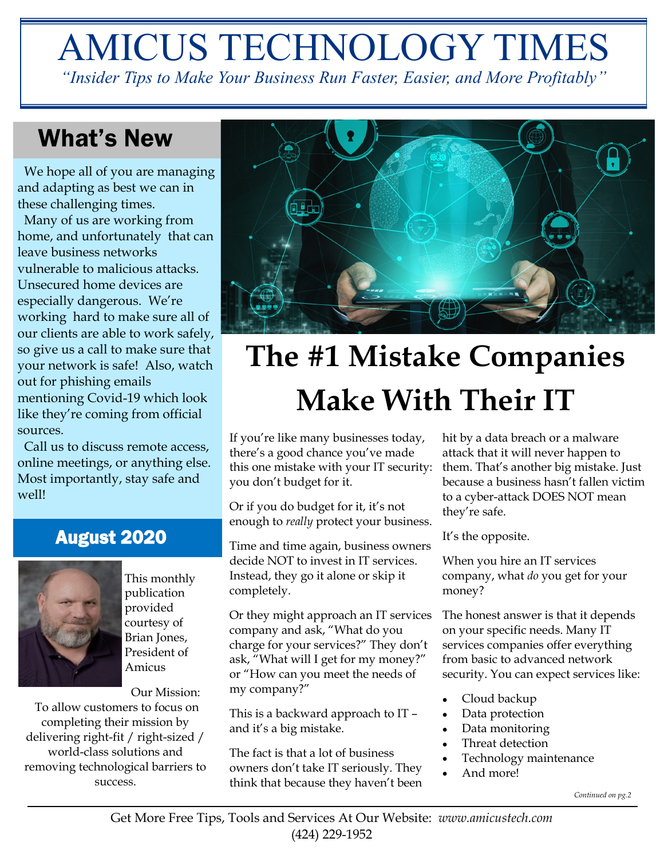# AMICUS TECHNOLOGY TIMES

*"Insider Tips to Make Your Business Run Faster, Easier, and More Profitably"*

## What's New

 We hope all of you are managing and adapting as best we can in these challenging times.

 Many of us are working from home, and unfortunately that can leave business networks vulnerable to malicious attacks. Unsecured home devices are especially dangerous. We're working hard to make sure all of our clients are able to work safely, so give us a call to make sure that your network is safe! Also, watch out for phishing emails mentioning Covid-19 which look like they're coming from official sources.

 Call us to discuss remote access, online meetings, or anything else. Most importantly, stay safe and well!

#### August 2020



This monthly publication provided courtesy of Brian Jones, President of Amicus

Our Mission:

To allow customers to focus on completing their mission by delivering right-fit / right-sized / world-class solutions and removing technological barriers to success.



## **The #1 Mistake Companies Make With Their IT**

If you're like many businesses today, there's a good chance you've made this one mistake with your IT security: you don't budget for it.

Or if you do budget for it, it's not enough to *really* protect your business.

Time and time again, business owners decide NOT to invest in IT services. Instead, they go it alone or skip it completely.

Or they might approach an IT services company and ask, "What do you charge for your services?" They don't ask, "What will I get for my money?" or "How can you meet the needs of my company?"

This is a backward approach to IT – and it's a big mistake.

The fact is that a lot of business owners don't take IT seriously. They think that because they haven't been

hit by a data breach or a malware attack that it will never happen to them. That's another big mistake. Just because a business hasn't fallen victim to a cyber-attack DOES NOT mean they're safe.

It's the opposite.

When you hire an IT services company, what *do* you get for your money?

The honest answer is that it depends on your specific needs. Many IT services companies offer everything from basic to advanced network security. You can expect services like:

- Cloud backup
- Data protection
- Data monitoring
- Threat detection
- Technology maintenance
- And more!

*Continued on pg.2*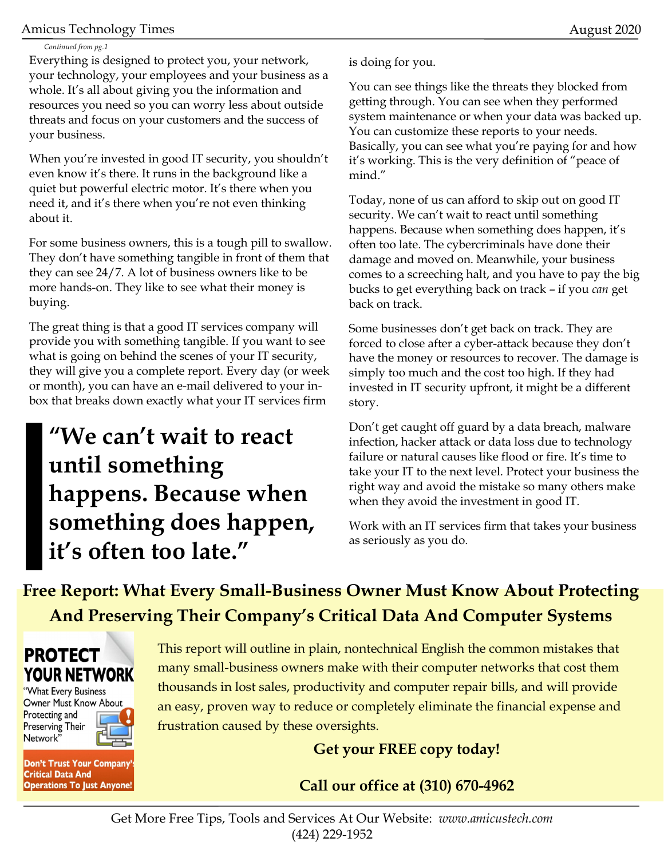#### Amicus Technology Times August 2020

#### *Continued from pg.1*

Everything is designed to protect you, your network, your technology, your employees and your business as a whole. It's all about giving you the information and resources you need so you can worry less about outside threats and focus on your customers and the success of your business.

When you're invested in good IT security, you shouldn't even know it's there. It runs in the background like a quiet but powerful electric motor. It's there when you need it, and it's there when you're not even thinking about it.

For some business owners, this is a tough pill to swallow. They don't have something tangible in front of them that they can see 24/7. A lot of business owners like to be more hands-on. They like to see what their money is buying.

The great thing is that a good IT services company will provide you with something tangible. If you want to see what is going on behind the scenes of your IT security, they will give you a complete report. Every day (or week or month), you can have an e-mail delivered to your inbox that breaks down exactly what your IT services firm

## **"We can't wait to react until something happens. Because when something does happen, it's often too late."**

is doing for you.

You can see things like the threats they blocked from getting through. You can see when they performed system maintenance or when your data was backed up. You can customize these reports to your needs. Basically, you can see what you're paying for and how it's working. This is the very definition of "peace of mind."

Today, none of us can afford to skip out on good IT security. We can't wait to react until something happens. Because when something does happen, it's often too late. The cybercriminals have done their damage and moved on. Meanwhile, your business comes to a screeching halt, and you have to pay the big bucks to get everything back on track – if you *can* get back on track.

Some businesses don't get back on track. They are forced to close after a cyber-attack because they don't have the money or resources to recover. The damage is simply too much and the cost too high. If they had invested in IT security upfront, it might be a different story.

Don't get caught off guard by a data breach, malware infection, hacker attack or data loss due to technology failure or natural causes like flood or fire. It's time to take your IT to the next level. Protect your business the right way and avoid the mistake so many others make when they avoid the investment in good IT.

Work with an IT services firm that takes your business as seriously as you do.

**Free Report: What Every Small-Business Owner Must Know About Protecting And Preserving Their Company's Critical Data And Computer Systems**



"What Every Business Owner Must Know About Protecting and **Preserving Their** Network'

**Don't Trust Your Company Critical Data And Operations To Just Anyone!** 

This report will outline in plain, nontechnical English the common mistakes that many small-business owners make with their computer networks that cost them thousands in lost sales, productivity and computer repair bills, and will provide an easy, proven way to reduce or completely eliminate the financial expense and frustration caused by these oversights.

**Get your FREE copy today!**

**Call our office at (310) 670-4962**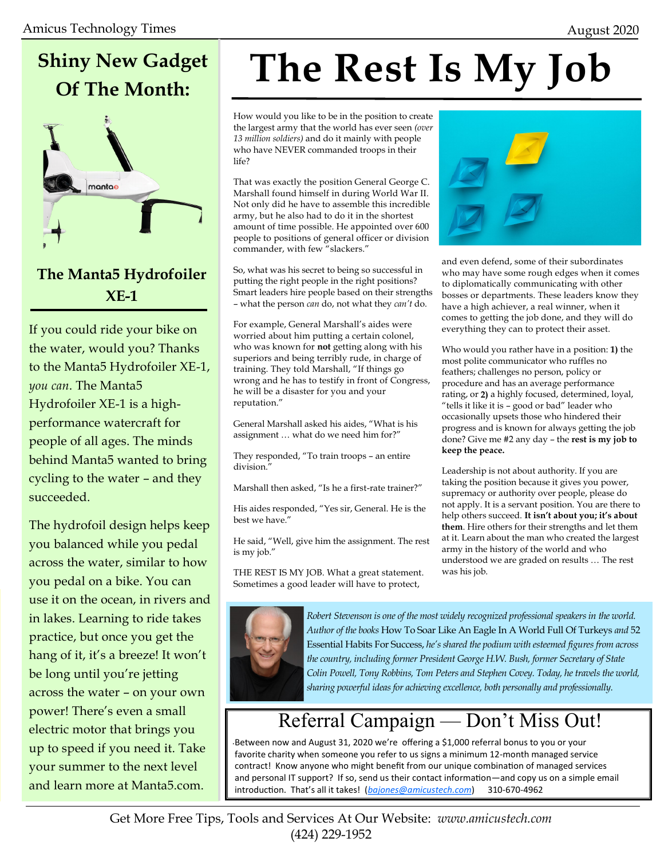## **Shiny New Gadget Of The Month:**



#### **The Manta5 Hydrofoiler XE-1**

If you could ride your bike on the water, would you? Thanks to the Manta5 Hydrofoiler XE-1, *you can*. The Manta5 Hydrofoiler XE-1 is a highperformance watercraft for people of all ages. The minds behind Manta5 wanted to bring cycling to the water – and they succeeded.

The hydrofoil design helps keep you balanced while you pedal across the water, similar to how you pedal on a bike. You can use it on the ocean, in rivers and in lakes. Learning to ride takes practice, but once you get the hang of it, it's a breeze! It won't be long until you're jetting across the water – on your own power! There's even a small electric motor that brings you up to speed if you need it. Take your summer to the next level and learn more at Manta5.com.

## **The Rest Is My Job**

How would you like to be in the position to create the largest army that the world has ever seen *(over 13 million soldiers)* and do it mainly with people who have NEVER commanded troops in their life?

That was exactly the position General George C. Marshall found himself in during World War II. Not only did he have to assemble this incredible army, but he also had to do it in the shortest amount of time possible. He appointed over 600 people to positions of general officer or division commander, with few "slackers."

So, what was his secret to being so successful in putting the right people in the right positions? Smart leaders hire people based on their strengths – what the person *can* do, not what they *can't* do.

For example, General Marshall's aides were worried about him putting a certain colonel, who was known for **not** getting along with his superiors and being terribly rude, in charge of training. They told Marshall, "If things go wrong and he has to testify in front of Congress, he will be a disaster for you and your reputation."

General Marshall asked his aides, "What is his assignment … what do we need him for?"

They responded, "To train troops – an entire division."

Marshall then asked, "Is he a first-rate trainer?"

His aides responded, "Yes sir, General. He is the best we have."

He said, "Well, give him the assignment. The rest is my job."

THE REST IS MY JOB. What a great statement. Sometimes a good leader will have to protect,



and even defend, some of their subordinates who may have some rough edges when it comes to diplomatically communicating with other bosses or departments. These leaders know they have a high achiever, a real winner, when it comes to getting the job done, and they will do everything they can to protect their asset.

Who would you rather have in a position: **1)** the most polite communicator who ruffles no feathers; challenges no person, policy or procedure and has an average performance rating, or **2)** a highly focused, determined, loyal, "tells it like it is – good or bad" leader who occasionally upsets those who hindered their progress and is known for always getting the job done? Give me #2 any day – the **rest is my job to keep the peace.**

Leadership is not about authority. If you are taking the position because it gives you power, supremacy or authority over people, please do not apply. It is a servant position. You are there to help others succeed. **It isn't about you; it's about them**. Hire others for their strengths and let them at it. Learn about the man who created the largest army in the history of the world and who understood we are graded on results … The rest was his job.



*Robert Stevenson is one of the most widely recognized professional speakers in the world. Author of the books* How To Soar Like An Eagle In A World Full Of Turkeys *and* 52 Essential Habits For Success, *he's shared the podium with esteemed figures from across the country, including former President George H.W. Bush, former Secretary of State Colin Powell, Tony Robbins, Tom Peters and Stephen Covey. Today, he travels the world, sharing powerful ideas for achieving excellence, both personally and professionally.*

### Referral Campaign — Don't Miss Out!

. Between now and August 31, 2020 we're offering a \$1,000 referral bonus to you or your favorite charity when someone you refer to us signs a minimum 12-month managed service contract! Know anyone who might benefit from our unique combination of managed services and personal IT support? If so, send us their contact information—and copy us on a simple email introduction. That's all it takes! (*[bajones@amicustech.com](mailto:bajones@amicustech.com?subject=I%20hav%20a%20referral%20for%20you!)*) 310-670-4962